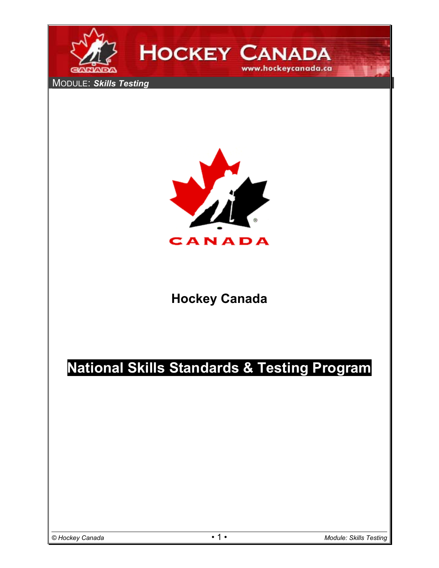



## **Hockey Canada**

# **National Skills Standards & Testing Program**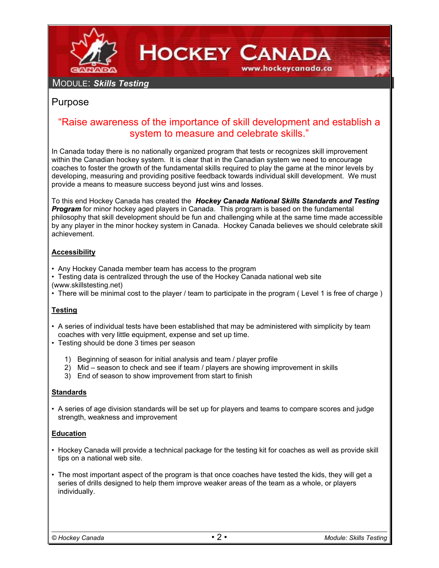

**HOCKEY CANADA** 

www.hockeycanada.ca

MODULE: *Skills Testing*

### Purpose

### "Raise awareness of the importance of skill development and establish a system to measure and celebrate skills."

In Canada today there is no nationally organized program that tests or recognizes skill improvement within the Canadian hockey system. It is clear that in the Canadian system we need to encourage coaches to foster the growth of the fundamental skills required to play the game at the minor levels by developing, measuring and providing positive feedback towards individual skill development. We must provide a means to measure success beyond just wins and losses.

To this end Hockey Canada has created the *Hockey Canada National Skills Standards and Testing* **Program** for minor hockey aged players in Canada. This program is based on the fundamental philosophy that skill development should be fun and challenging while at the same time made accessible by any player in the minor hockey system in Canada. Hockey Canada believes we should celebrate skill achievement.

#### **Accessibility**

- Any Hockey Canada member team has access to the program
- Testing data is centralized through the use of the Hockey Canada national web site (www.skillstesting.net)
- There will be minimal cost to the player / team to participate in the program ( Level 1 is free of charge )

#### **Testing**

- A series of individual tests have been established that may be administered with simplicity by team coaches with very little equipment, expense and set up time.
- Testing should be done 3 times per season
	- 1) Beginning of season for initial analysis and team / player profile
	- 2) Mid season to check and see if team / players are showing improvement in skills
	- 3) End of season to show improvement from start to finish

#### **Standards**

• A series of age division standards will be set up for players and teams to compare scores and judge strength, weakness and improvement

#### **Education**

- Hockey Canada will provide a technical package for the testing kit for coaches as well as provide skill tips on a national web site.
- The most important aspect of the program is that once coaches have tested the kids, they will get a series of drills designed to help them improve weaker areas of the team as a whole, or players individually.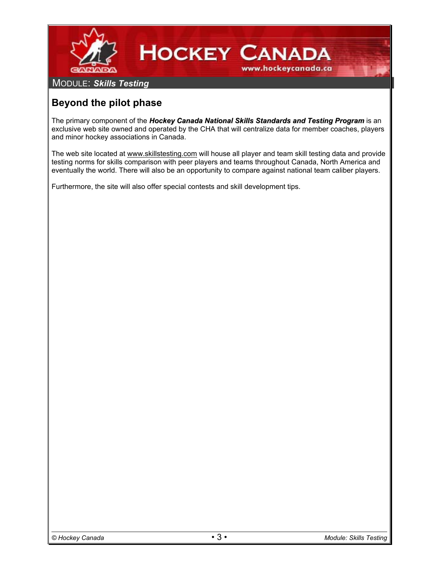

### **Beyond the pilot phase**

The primary component of the *Hockey Canada National Skills Standards and Testing Program* is an exclusive web site owned and operated by the CHA that will centralize data for member coaches, players and minor hockey associations in Canada.

The web site located at www.skillstesting.com will house all player and team skill testing data and provide testing norms for skills comparison with peer players and teams throughout Canada, North America and eventually the world. There will also be an opportunity to compare against national team caliber players.

Furthermore, the site will also offer special contests and skill development tips.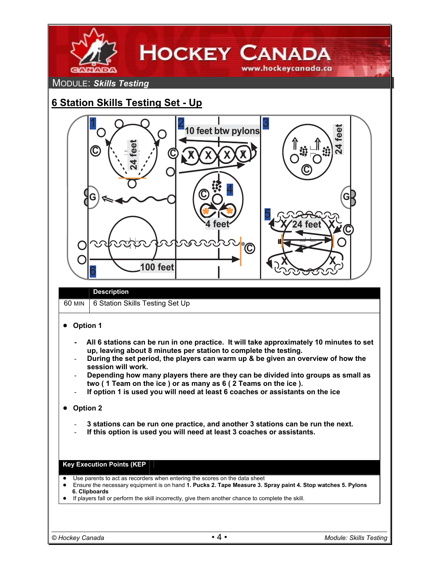

### **6 Station Skills Testing Set - Up**

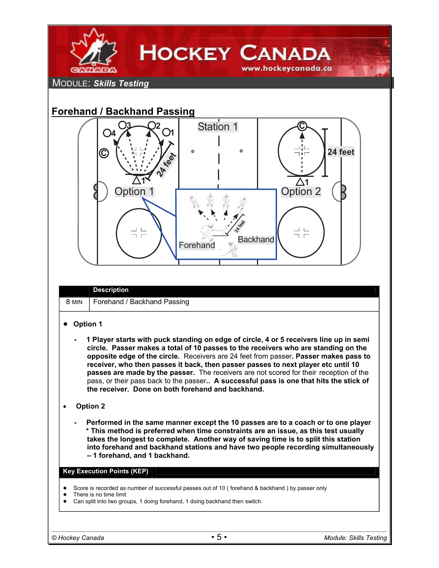

### **Forehand / Backhand Passing**



#### **Description**

8 MIN | Forehand / Backhand Passing

### ! **Option 1**

- **1 Player starts with puck standing on edge of circle, 4 or 5 receivers line up in semi circle. Passer makes a total of 10 passes to the receivers who are standing on the opposite edge of the circle.** Receivers are 24 feet from passer**. Passer makes pass to receiver, who then passes it back, then passer passes to next player etc until 10 passes are made by the passer.** The receivers are not scored for their reception of the pass, or their pass back to the passer**.. A successful pass is one that hits the stick of the receiver. Done on both forehand and backhand.**
- **Option 2** 
	- **Performed in the same manner except the 10 passes are to a coach or to one player \* This method is preferred when time constraints are an issue, as this test usually takes the longest to complete. Another way of saving time is to split this station into forehand and backhand stations and have two people recording simultaneously – 1 forehand, and 1 backhand.**

- Score is recorded as number of successful passes out of 10 (forehand & backhand ) by passer only
- There is no time limit
- ! Can split into two groups, 1 doing forehand, 1 doing backhand then switch.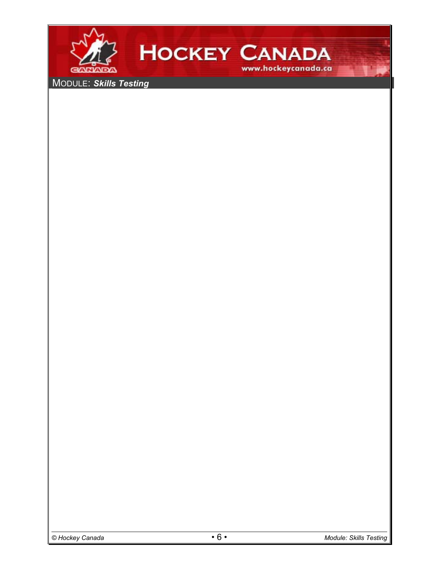

**HOCKEY CANADA** www.hockeycanada.ca

MODULE: *Skills Testing*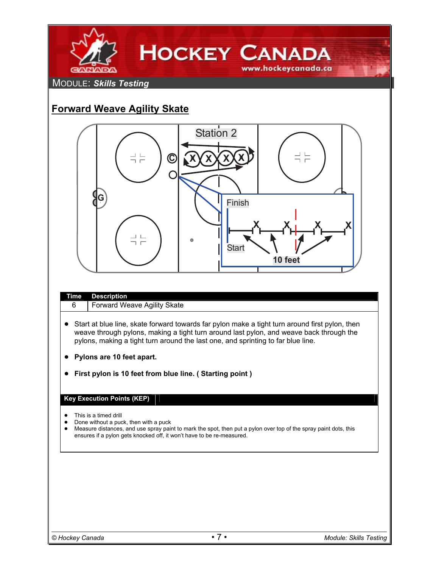

### **Forward Weave Agility Skate**



#### **Time Description**

6 Forward Weave Agility Skate

- Start at blue line, skate forward towards far pylon make a tight turn around first pylon, then weave through pylons, making a tight turn around last pylon, and weave back through the pylons, making a tight turn around the last one, and sprinting to far blue line.
- ! **Pylons are 10 feet apart.**
- ! **First pylon is 10 feet from blue line. ( Starting point )**

- This is a timed drill
- ! Done without a puck, then with a puck
- ! Measure distances, and use spray paint to mark the spot, then put a pylon over top of the spray paint dots, this ensures if a pylon gets knocked off, it won't have to be re-measured.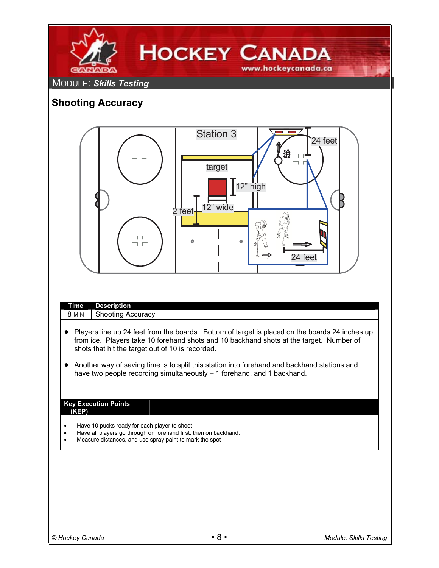

### **Shooting Accuracy**



#### **Time Description**

8 MIN Shooting Accuracy

- ! Players line up 24 feet from the boards. Bottom of target is placed on the boards 24 inches up from ice. Players take 10 forehand shots and 10 backhand shots at the target. Number of shots that hit the target out of 10 is recorded.
- ! Another way of saving time is to split this station into forehand and backhand stations and have two people recording simultaneously – 1 forehand, and 1 backhand.

- Have 10 pucks ready for each player to shoot.
- Have all players go through on forehand first, then on backhand.
- Measure distances, and use spray paint to mark the spot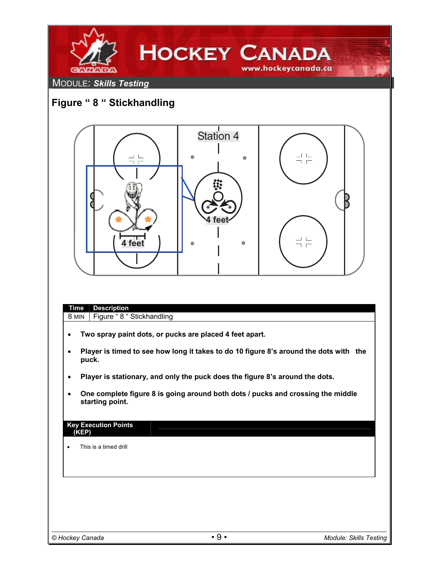

### **Figure " 8 " Stickhandling**



#### **Time Description**

8 MIN | Figure "8 " Stickhandling

- **Two spray paint dots, or pucks are placed 4 feet apart.**
- **Player is timed to see how long it takes to do 10 figure 8's around the dots with the puck.**
- **Player is stationary, and only the puck does the figure 8's around the dots.**
- **One complete figure 8 is going around both dots / pucks and crossing the middle starting point.**

**Key Execution Points (KEP)** 

This is a timed drill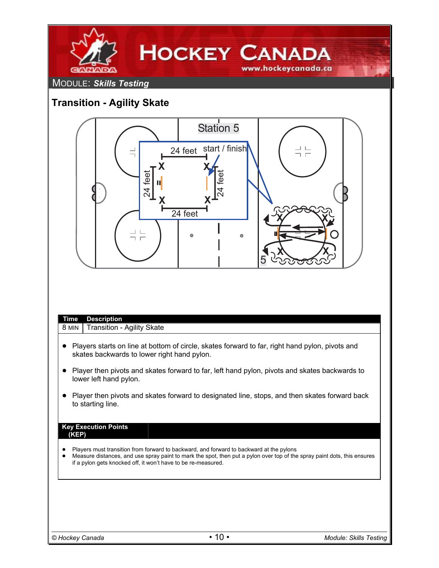

### **Transition - Agility Skate**



#### **Time Description**

8 MIN | Transition - Agility Skate

- ! Players starts on line at bottom of circle, skates forward to far, right hand pylon, pivots and skates backwards to lower right hand pylon.
- ! Player then pivots and skates forward to far, left hand pylon, pivots and skates backwards to lower left hand pylon.
- ! Player then pivots and skates forward to designated line, stops, and then skates forward back to starting line.

- ! Players must transition from forward to backward, and forward to backward at the pylons
- ! Measure distances, and use spray paint to mark the spot, then put a pylon over top of the spray paint dots, this ensures if a pylon gets knocked off, it won't have to be re-measured.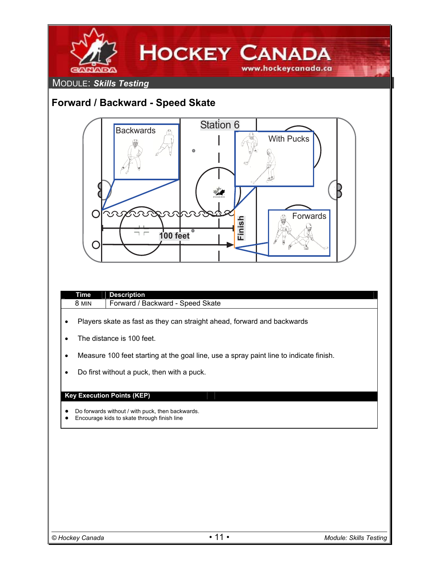

### **Forward / Backward - Speed Skate**



### **Time Description**

| 8 MIN |  |  | Forward / Backward - Speed Skate |
|-------|--|--|----------------------------------|
|-------|--|--|----------------------------------|

- Players skate as fast as they can straight ahead, forward and backwards
- The distance is 100 feet.
- Measure 100 feet starting at the goal line, use a spray paint line to indicate finish.
- Do first without a puck, then with a puck.

- Do forwards without / with puck, then backwards.
- Encourage kids to skate through finish line